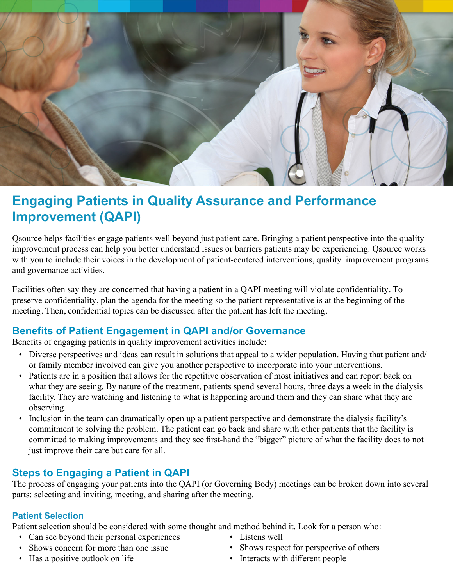

# **Engaging Patients in Quality Assurance and Performance Improvement (QAPI)**

Qsource helps facilities engage patients well beyond just patient care. Bringing a patient perspective into the quality improvement process can help you better understand issues or barriers patients may be experiencing. Qsource works with you to include their voices in the development of patient-centered interventions, quality improvement programs and governance activities.

Facilities often say they are concerned that having a patient in a QAPI meeting will violate confidentiality. To preserve confidentiality, plan the agenda for the meeting so the patient representative is at the beginning of the meeting. Then, confidential topics can be discussed after the patient has left the meeting.

# **Benefits of Patient Engagement in QAPI and/or Governance**

Benefits of engaging patients in quality improvement activities include:

- Diverse perspectives and ideas can result in solutions that appeal to a wider population. Having that patient and/ or family member involved can give you another perspective to incorporate into your interventions.
- Patients are in a position that allows for the repetitive observation of most initiatives and can report back on what they are seeing. By nature of the treatment, patients spend several hours, three days a week in the dialysis facility. They are watching and listening to what is happening around them and they can share what they are observing.
- Inclusion in the team can dramatically open up a patient perspective and demonstrate the dialysis facility's commitment to solving the problem. The patient can go back and share with other patients that the facility is committed to making improvements and they see first-hand the "bigger" picture of what the facility does to not just improve their care but care for all.

# **Steps to Engaging a Patient in QAPI**

The process of engaging your patients into the QAPI (or Governing Body) meetings can be broken down into several parts: selecting and inviting, meeting, and sharing after the meeting.

#### **Patient Selection**

Patient selection should be considered with some thought and method behind it. Look for a person who:

- Can see beyond their personal experiences Listens well
- Shows concern for more than one issue Shows respect for perspective of others
- Has a positive outlook on life Interacts with different people
- 
- -